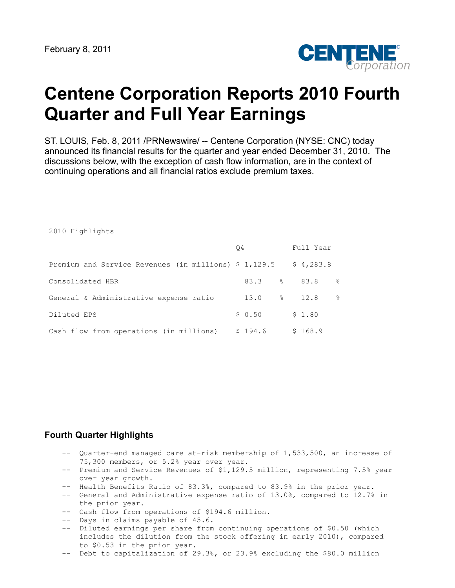2010 Highlights



# **Centene Corporation Reports 2010 Fourth Quarter and Full Year Earnings**

ST. LOUIS, Feb. 8, 2011 /PRNewswire/ -- Centene Corporation (NYSE: CNC) today announced its financial results for the quarter and year ended December 31, 2010. The discussions below, with the exception of cash flow information, are in the context of continuing operations and all financial ratios exclude premium taxes.

|                                                       | O4 |         |    | Full Year |               |
|-------------------------------------------------------|----|---------|----|-----------|---------------|
| Premium and Service Revenues (in millions) \$ 1,129.5 |    |         |    | \$4,283.8 |               |
| Consolidated HBR                                      |    | 83.3    | -8 | 83.8      | g.            |
| General & Administrative expense ratio                |    | 13.0    |    | 8 12.8    | $\frac{6}{6}$ |
| Diluted EPS                                           |    | \$0.50  |    | \$1.80    |               |
| Cash flow from operations (in millions)               |    | \$194.6 |    | \$168.9   |               |

# **Fourth Quarter Highlights**

- -- Quarter-end managed care at-risk membership of 1,533,500, an increase of 75,300 members, or 5.2% year over year.
- -- Premium and Service Revenues of \$1,129.5 million, representing 7.5% year over year growth.
- -- Health Benefits Ratio of 83.3%, compared to 83.9% in the prior year.
- -- General and Administrative expense ratio of 13.0%, compared to 12.7% in the prior year.
- -- Cash flow from operations of \$194.6 million.
- -- Days in claims payable of 45.6.
- -- Diluted earnings per share from continuing operations of \$0.50 (which includes the dilution from the stock offering in early 2010), compared to \$0.53 in the prior year.
- -- Debt to capitalization of 29.3%, or 23.9% excluding the \$80.0 million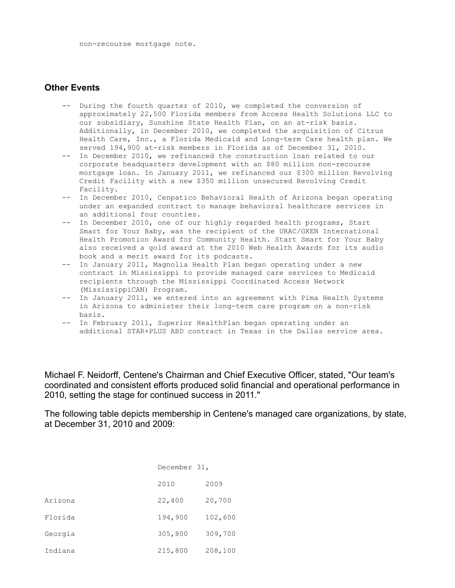#### **Other Events**

- -- During the fourth quarter of 2010, we completed the conversion of approximately 22,500 Florida members from Access Health Solutions LLC to our subsidiary, Sunshine State Health Plan, on an at-risk basis. Additionally, in December 2010, we completed the acquisition of Citrus Health Care, Inc., a Florida Medicaid and Long-term Care health plan. We served 194,900 at-risk members in Florida as of December 31, 2010.
- -- In December 2010, we refinanced the construction loan related to our corporate headquarters development with an \$80 million non-recourse mortgage loan. In January 2011, we refinanced our \$300 million Revolving Credit Facility with a new \$350 million unsecured Revolving Credit Facility.
- -- In December 2010, Cenpatico Behavioral Health of Arizona began operating under an expanded contract to manage behavioral healthcare services in an additional four counties.
- -- In December 2010, one of our highly regarded health programs, Start Smart for Your Baby, was the recipient of the URAC/GKEN International Health Promotion Award for Community Health. Start Smart for Your Baby also received a gold award at the 2010 Web Health Awards for its audio book and a merit award for its podcasts.
- -- In January 2011, Magnolia Health Plan began operating under a new contract in Mississippi to provide managed care services to Medicaid recipients through the Mississippi Coordinated Access Network (MississippiCAN) Program.
- -- In January 2011, we entered into an agreement with Pima Health Systems in Arizona to administer their long-term care program on a non-risk basis.
- -- In February 2011, Superior HealthPlan began operating under an additional STAR+PLUS ABD contract in Texas in the Dallas service area.

Michael F. Neidorff, Centene's Chairman and Chief Executive Officer, stated, "Our team's coordinated and consistent efforts produced solid financial and operational performance in 2010, setting the stage for continued success in 2011."

The following table depicts membership in Centene's managed care organizations, by state, at December 31, 2010 and 2009:

|         | December 31, |         |
|---------|--------------|---------|
|         | 2010         | 2009    |
| Arizona | 22,400       | 20,700  |
| Florida | 194,900      | 102,600 |
| Georgia | 305,800      | 309,700 |
| Indiana | 215,800      | 208,100 |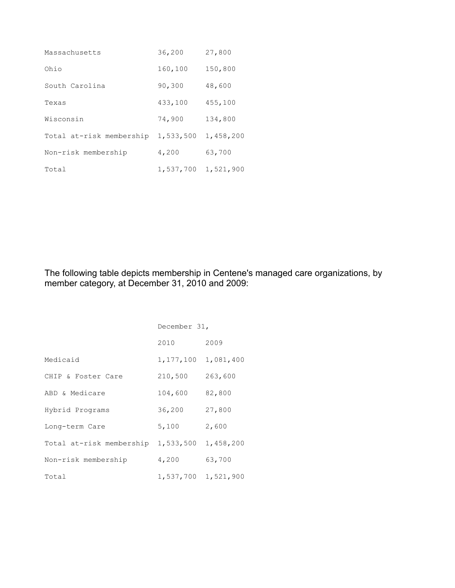| Massachusetts            | 36,200    | 27,800    |
|--------------------------|-----------|-----------|
| Ohio                     | 160,100   | 150,800   |
| South Carolina           | 90,300    | 48,600    |
| Texas                    | 433,100   | 455,100   |
| Wisconsin                | 74,900    | 134,800   |
| Total at-risk membership | 1,533,500 | 1,458,200 |
| Non-risk membership      | 4,200     | 63,700    |
| Total                    | 1,537,700 | 1,521,900 |

The following table depicts membership in Centene's managed care organizations, by member category, at December 31, 2010 and 2009:

|                          | December 31, |           |
|--------------------------|--------------|-----------|
|                          | 2010         | 2009      |
| Medicaid                 | 1,177,100    | 1,081,400 |
| CHIP & Foster Care       | 210,500      | 263,600   |
| ABD & Medicare           | 104,600      | 82,800    |
| Hybrid Programs          | 36,200       | 27,800    |
| Long-term Care           | 5,100        | 2,600     |
| Total at-risk membership | 1,533,500    | 1,458,200 |
| Non-risk membership      | 4,200        | 63,700    |
| Total                    | 1,537,700    | 1,521,900 |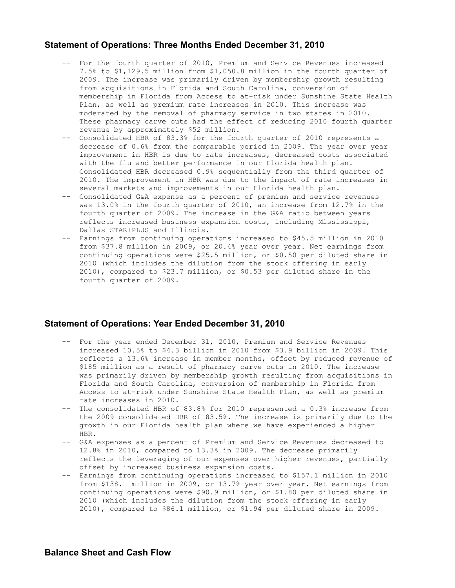# **Statement of Operations: Three Months Ended December 31, 2010**

- -- For the fourth quarter of 2010, Premium and Service Revenues increased 7.5% to \$1,129.5 million from \$1,050.8 million in the fourth quarter of 2009. The increase was primarily driven by membership growth resulting from acquisitions in Florida and South Carolina, conversion of membership in Florida from Access to at-risk under Sunshine State Health Plan, as well as premium rate increases in 2010. This increase was moderated by the removal of pharmacy service in two states in 2010. These pharmacy carve outs had the effect of reducing 2010 fourth quarter revenue by approximately \$52 million.
- -- Consolidated HBR of 83.3% for the fourth quarter of 2010 represents a decrease of 0.6% from the comparable period in 2009. The year over year improvement in HBR is due to rate increases, decreased costs associated with the flu and better performance in our Florida health plan. Consolidated HBR decreased 0.9% sequentially from the third quarter of 2010. The improvement in HBR was due to the impact of rate increases in several markets and improvements in our Florida health plan.
- -- Consolidated G&A expense as a percent of premium and service revenues was 13.0% in the fourth quarter of 2010, an increase from 12.7% in the fourth quarter of 2009. The increase in the G&A ratio between years reflects increased business expansion costs, including Mississippi, Dallas STAR+PLUS and Illinois.
- -- Earnings from continuing operations increased to \$45.5 million in 2010 from \$37.8 million in 2009, or 20.4% year over year. Net earnings from continuing operations were \$25.5 million, or \$0.50 per diluted share in 2010 (which includes the dilution from the stock offering in early 2010), compared to \$23.7 million, or \$0.53 per diluted share in the fourth quarter of 2009.

#### **Statement of Operations: Year Ended December 31, 2010**

- -- For the year ended December 31, 2010, Premium and Service Revenues increased 10.5% to \$4.3 billion in 2010 from \$3.9 billion in 2009. This reflects a 13.6% increase in member months, offset by reduced revenue of \$185 million as a result of pharmacy carve outs in 2010. The increase was primarily driven by membership growth resulting from acquisitions in Florida and South Carolina, conversion of membership in Florida from Access to at-risk under Sunshine State Health Plan, as well as premium rate increases in 2010.
- -- The consolidated HBR of 83.8% for 2010 represented a 0.3% increase from the 2009 consolidated HBR of 83.5%. The increase is primarily due to the growth in our Florida health plan where we have experienced a higher HBR.
- -- G&A expenses as a percent of Premium and Service Revenues decreased to 12.8% in 2010, compared to 13.3% in 2009. The decrease primarily reflects the leveraging of our expenses over higher revenues, partially offset by increased business expansion costs.
- -- Earnings from continuing operations increased to \$157.1 million in 2010 from \$138.1 million in 2009, or 13.7% year over year. Net earnings from continuing operations were \$90.9 million, or \$1.80 per diluted share in 2010 (which includes the dilution from the stock offering in early 2010), compared to \$86.1 million, or \$1.94 per diluted share in 2009.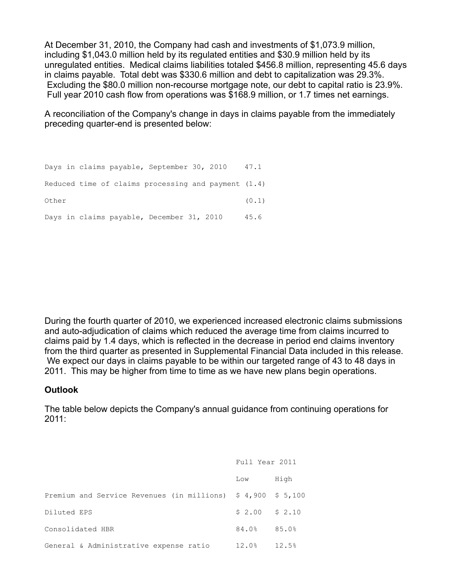At December 31, 2010, the Company had cash and investments of \$1,073.9 million, including \$1,043.0 million held by its regulated entities and \$30.9 million held by its unregulated entities. Medical claims liabilities totaled \$456.8 million, representing 45.6 days in claims payable. Total debt was \$330.6 million and debt to capitalization was 29.3%. Excluding the \$80.0 million non-recourse mortgage note, our debt to capital ratio is 23.9%. Full year 2010 cash flow from operations was \$168.9 million, or 1.7 times net earnings.

A reconciliation of the Company's change in days in claims payable from the immediately preceding quarter-end is presented below:

Days in claims payable, September 30, 2010 47.1 Reduced time of claims processing and payment (1.4) Other (0.1) Days in claims payable, December 31, 2010 45.6

During the fourth quarter of 2010, we experienced increased electronic claims submissions and auto-adjudication of claims which reduced the average time from claims incurred to claims paid by 1.4 days, which is reflected in the decrease in period end claims inventory from the third quarter as presented in Supplemental Financial Data included in this release. We expect our days in claims payable to be within our targeted range of 43 to 48 days in 2011. This may be higher from time to time as we have new plans begin operations.

# **Outlook**

The table below depicts the Company's annual guidance from continuing operations for 2011:

|                                                                                    | Full Year 2011  |       |
|------------------------------------------------------------------------------------|-----------------|-------|
|                                                                                    | Low             | High  |
| Premium and Service Revenues (in millions) $\frac{1}{2}$ 4,900 $\frac{1}{2}$ 5,100 |                 |       |
| Diluted EPS                                                                        | $$2.00$ $$2.10$ |       |
| Consolidated HBR                                                                   | 84.0%           | 85.0% |
| General & Administrative expense ratio                                             | 12.0%           | 12.5% |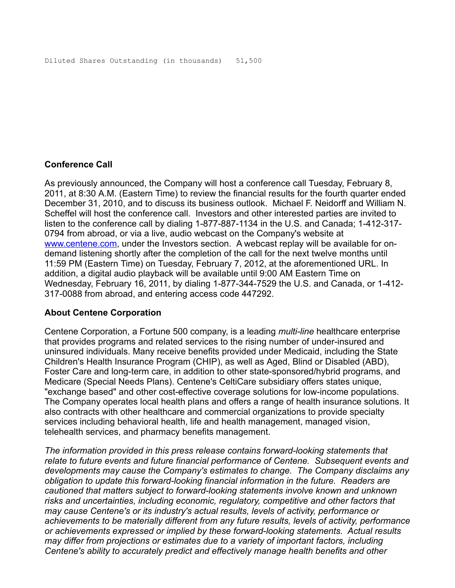# **Conference Call**

As previously announced, the Company will host a conference call Tuesday, February 8, 2011, at 8:30 A.M. (Eastern Time) to review the financial results for the fourth quarter ended December 31, 2010, and to discuss its business outlook. Michael F. Neidorff and William N. Scheffel will host the conference call. Investors and other interested parties are invited to listen to the conference call by dialing 1-877-887-1134 in the U.S. and Canada; 1-412-317- 0794 from abroad, or via a live, audio webcast on the Company's website at [www.centene.com,](http://www.centene.com/) under the Investors section. A webcast replay will be available for ondemand listening shortly after the completion of the call for the next twelve months until 11:59 PM (Eastern Time) on Tuesday, February 7, 2012, at the aforementioned URL. In addition, a digital audio playback will be available until 9:00 AM Eastern Time on Wednesday, February 16, 2011, by dialing 1-877-344-7529 the U.S. and Canada, or 1-412- 317-0088 from abroad, and entering access code 447292.

# **About Centene Corporation**

Centene Corporation, a Fortune 500 company, is a leading *multi-line* healthcare enterprise that provides programs and related services to the rising number of under-insured and uninsured individuals. Many receive benefits provided under Medicaid, including the State Children's Health Insurance Program (CHIP), as well as Aged, Blind or Disabled (ABD), Foster Care and long-term care, in addition to other state-sponsored/hybrid programs, and Medicare (Special Needs Plans). Centene's CeltiCare subsidiary offers states unique, "exchange based" and other cost-effective coverage solutions for low-income populations. The Company operates local health plans and offers a range of health insurance solutions. It also contracts with other healthcare and commercial organizations to provide specialty services including behavioral health, life and health management, managed vision, telehealth services, and pharmacy benefits management.

*The information provided in this press release contains forward-looking statements that relate to future events and future financial performance of Centene. Subsequent events and developments may cause the Company's estimates to change. The Company disclaims any obligation to update this forward-looking financial information in the future. Readers are cautioned that matters subject to forward-looking statements involve known and unknown risks and uncertainties, including economic, regulatory, competitive and other factors that may cause Centene's or its industry's actual results, levels of activity, performance or achievements to be materially different from any future results, levels of activity, performance or achievements expressed or implied by these forward-looking statements. Actual results may differ from projections or estimates due to a variety of important factors, including Centene's ability to accurately predict and effectively manage health benefits and other*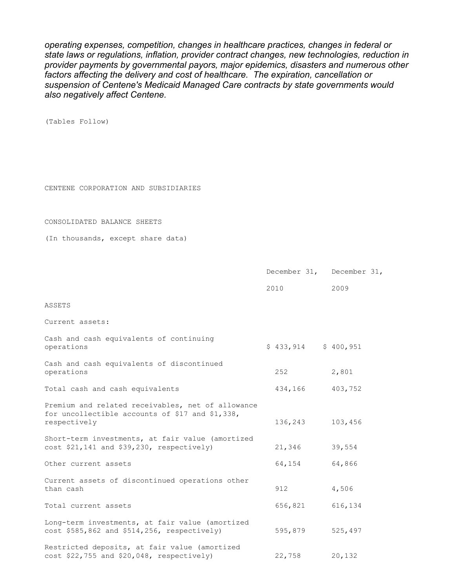*operating expenses, competition, changes in healthcare practices, changes in federal or state laws or regulations, inflation, provider contract changes, new technologies, reduction in provider payments by governmental payors, major epidemics, disasters and numerous other factors affecting the delivery and cost of healthcare. The expiration, cancellation or suspension of Centene's Medicaid Managed Care contracts by state governments would also negatively affect Centene.* 

(Tables Follow)

CENTENE CORPORATION AND SUBSIDIARIES

CONSOLIDATED BALANCE SHEETS

(In thousands, except share data)

|                                                                                                                      | December 31, December 31, |         |
|----------------------------------------------------------------------------------------------------------------------|---------------------------|---------|
|                                                                                                                      | 2010                      | 2009    |
| ASSETS                                                                                                               |                           |         |
| Current assets:                                                                                                      |                           |         |
| Cash and cash equivalents of continuing<br>operations                                                                | $$433,914$ $$400,951$     |         |
| Cash and cash equivalents of discontinued<br>operations                                                              | 252                       | 2,801   |
| Total cash and cash equivalents                                                                                      | 434,166 403,752           |         |
| Premium and related receivables, net of allowance<br>for uncollectible accounts of \$17 and \$1,338,<br>respectively | 136,243                   | 103,456 |
| Short-term investments, at fair value (amortized<br>$cost$ \$21,141 and \$39,230, respectively)                      | 21,346                    | 39,554  |
| Other current assets                                                                                                 | 64,154                    | 64,866  |
| Current assets of discontinued operations other<br>than cash                                                         | 912                       | 4,506   |
| Total current assets                                                                                                 | 656,821                   | 616,134 |
| Long-term investments, at fair value (amortized<br>cost \$585,862 and \$514,256, respectively)                       | 595,879                   | 525,497 |
| Restricted deposits, at fair value (amortized<br>$cost$ \$22,755 and \$20,048, respectively)                         | 22,758                    | 20,132  |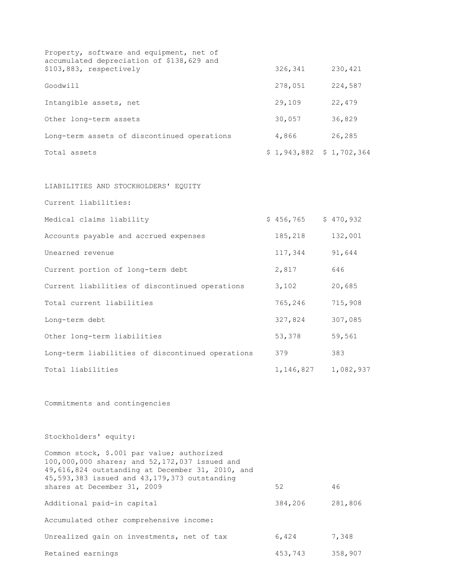| Property, software and equipment, net of<br>accumulated depreciation of \$138,629 and |                          |         |
|---------------------------------------------------------------------------------------|--------------------------|---------|
| \$103,883, respectively                                                               | 326,341                  | 230,421 |
| Goodwill                                                                              | 278,051                  | 224,587 |
| Intangible assets, net                                                                | 29,109                   | 22,479  |
| Other long-term assets                                                                | 30,057                   | 36,829  |
| Long-term assets of discontinued operations                                           | 4,866                    | 26,285  |
| Total assets                                                                          | $$1,943,882 \$1,702,364$ |         |

LIABILITIES AND STOCKHOLDERS' EQUITY

Current liabilities:

| Medical claims liability                         | \$456,765 | \$470,932 |
|--------------------------------------------------|-----------|-----------|
| Accounts payable and accrued expenses            | 185,218   | 132,001   |
| Unearned revenue                                 | 117,344   | 91,644    |
| Current portion of long-term debt                | 2,817     | 646       |
| Current liabilities of discontinued operations   | 3,102     | 20,685    |
| Total current liabilities                        | 765,246   | 715,908   |
| Long-term debt                                   | 327,824   | 307,085   |
| Other long-term liabilities                      | 53,378    | 59,561    |
| Long-term liabilities of discontinued operations | 379       | 383       |
| Total liabilities                                | 1,146,827 | 1,082,937 |

Commitments and contingencies

Stockholders' equity:

| Common stock, \$.001 par value; authorized<br>100,000,000 shares; and 52,172,037 issued and<br>49,616,824 outstanding at December 31, 2010, and<br>45,593,383 issued and 43,179,373 outstanding |         |         |
|-------------------------------------------------------------------------------------------------------------------------------------------------------------------------------------------------|---------|---------|
| shares at December 31, 2009                                                                                                                                                                     | 52      | 46      |
| Additional paid-in capital                                                                                                                                                                      | 384,206 | 281,806 |
| Accumulated other comprehensive income:                                                                                                                                                         |         |         |
| Unrealized gain on investments, net of tax                                                                                                                                                      | 6,424   | 7,348   |
| Retained earnings                                                                                                                                                                               | 453,743 | 358,907 |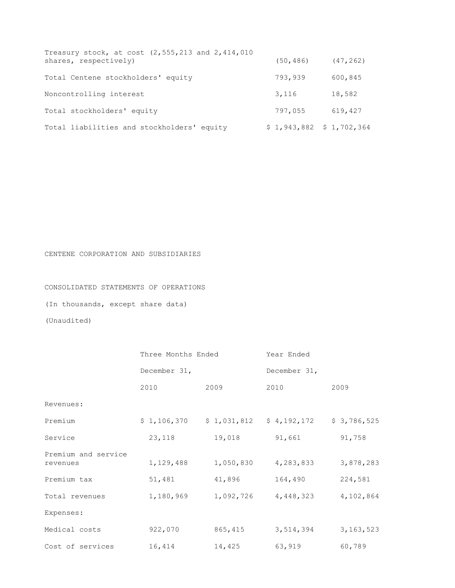| Treasury stock, at cost (2,555,213 and 2,414,010<br>shares, respectively) | (50, 486) | (47, 262)                |
|---------------------------------------------------------------------------|-----------|--------------------------|
| Total Centene stockholders' equity                                        | 793,939   | 600,845                  |
| Noncontrolling interest                                                   | 3,116     | 18,582                   |
| Total stockholders' equity                                                | 797,055   | 619,427                  |
| Total liabilities and stockholders' equity                                |           | $$1,943,882 \$1,702,364$ |

CENTENE CORPORATION AND SUBSIDIARIES

CONSOLIDATED STATEMENTS OF OPERATIONS

(In thousands, except share data)

(Unaudited)

|                                 | Three Months Ended |             | Year Ended   |             |
|---------------------------------|--------------------|-------------|--------------|-------------|
|                                 | December 31,       |             | December 31, |             |
|                                 | 2010               | 2009        | 2010         | 2009        |
| Revenues:                       |                    |             |              |             |
| Premium                         | \$1,106,370        | \$1,031,812 | \$4,192,172  | \$3,786,525 |
| Service                         | 23,118             | 19,018      | 91,661       | 91,758      |
| Premium and service<br>revenues | 1,129,488          | 1,050,830   | 4,283,833    | 3,878,283   |
| Premium tax                     | 51,481             | 41,896      | 164,490      | 224,581     |
| Total revenues                  | 1,180,969          | 1,092,726   | 4,448,323    | 4,102,864   |
| Expenses:                       |                    |             |              |             |
| Medical costs                   | 922,070            | 865,415     | 3,514,394    | 3, 163, 523 |
| Cost of services                | 16,414             | 14,425      | 63,919       | 60,789      |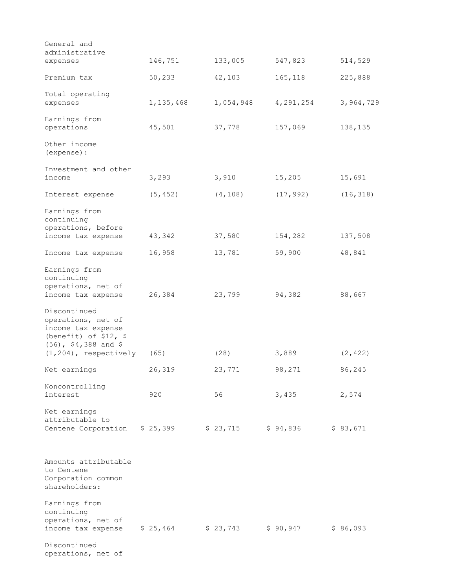| General and                              |           |           |           |           |
|------------------------------------------|-----------|-----------|-----------|-----------|
| administrative                           |           |           |           |           |
| expenses                                 | 146,751   | 133,005   | 547,823   | 514,529   |
| Premium tax                              | 50,233    | 42,103    | 165,118   | 225,888   |
| Total operating                          |           |           |           |           |
| expenses                                 | 1,135,468 | 1,054,948 | 4,291,254 | 3,964,729 |
| Earnings from                            |           |           |           |           |
| operations                               | 45,501    | 37,778    | 157,069   | 138,135   |
| Other income<br>(expense) :              |           |           |           |           |
| Investment and other                     |           |           |           |           |
| income                                   | 3,293     | 3,910     | 15,205    | 15,691    |
| Interest expense                         | (5, 452)  | (4, 108)  | (17, 992) | (16, 318) |
| Earnings from                            |           |           |           |           |
| continuing<br>operations, before         |           |           |           |           |
| income tax expense                       | 43,342    | 37,580    | 154,282   | 137,508   |
| Income tax expense                       | 16,958    | 13,781    | 59,900    | 48,841    |
| Earnings from                            |           |           |           |           |
| continuing                               |           |           |           |           |
| operations, net of                       |           |           |           |           |
| income tax expense                       | 26,384    | 23,799    | 94,382    | 88,667    |
| Discontinued                             |           |           |           |           |
| operations, net of<br>income tax expense |           |           |           |           |
| (benefit) of $$12, $$                    |           |           |           |           |
| $(56)$ , \$4,388 and \$                  |           |           |           |           |
| $(1, 204)$ , respectively                | (65)      | (28)      | 3,889     | (2, 422)  |
| Net earnings                             | 26,319    | 23,771    | 98,271    | 86,245    |
| Noncontrolling                           |           |           |           |           |
| interest                                 | 920       | 56        | 3,435     | 2,574     |
| Net earnings                             |           |           |           |           |
| attributable to<br>Centene Corporation   | \$25,399  | \$23,715  | \$94,836  | \$83,671  |
|                                          |           |           |           |           |
|                                          |           |           |           |           |
| Amounts attributable                     |           |           |           |           |
| to Centene<br>Corporation common         |           |           |           |           |
| shareholders:                            |           |           |           |           |
| Earnings from                            |           |           |           |           |
| continuing                               |           |           |           |           |
| operations, net of<br>income tax expense | \$25,464  | \$23,743  | \$90,947  | \$86,093  |
| Discontinued                             |           |           |           |           |
| operations, net of                       |           |           |           |           |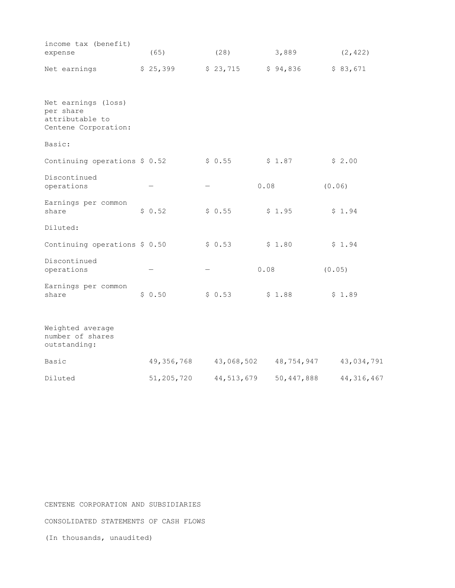| income tax (benefit)<br>expense                                             | (65)         | (28)       |      | 3,889      |        | (2, 422)     |
|-----------------------------------------------------------------------------|--------------|------------|------|------------|--------|--------------|
| Net earnings                                                                | \$25,399     | \$23,715   |      | \$94,836   |        | \$83,671     |
| Net earnings (loss)<br>per share<br>attributable to<br>Centene Corporation: |              |            |      |            |        |              |
| Basic:                                                                      |              |            |      |            |        |              |
| Continuing operations \$ 0.52                                               |              | \$0.55     |      | \$1.87     |        | \$2.00       |
| Discontinued<br>operations                                                  |              |            | 0.08 |            | (0.06) |              |
| Earnings per common<br>share                                                | \$0.52       | \$0.55     |      | \$1.95     |        | \$1.94       |
| Diluted:                                                                    |              |            |      |            |        |              |
| Continuing operations \$ 0.50                                               |              | \$0.53     |      | \$1.80     |        | \$1.94       |
| Discontinued<br>operations                                                  |              |            | 0.08 |            | (0.05) |              |
| Earnings per common<br>share                                                | \$0.50       | \$0.53     |      | \$1.88     |        | \$1.89       |
| Weighted average<br>number of shares<br>outstanding:                        |              |            |      |            |        |              |
| Basic                                                                       | 49, 356, 768 | 43,068,502 |      | 48,754,947 |        | 43,034,791   |
| Diluted                                                                     | 51,205,720   | 44,513,679 |      | 50,447,888 |        | 44, 316, 467 |

CENTENE CORPORATION AND SUBSIDIARIES CONSOLIDATED STATEMENTS OF CASH FLOWS (In thousands, unaudited)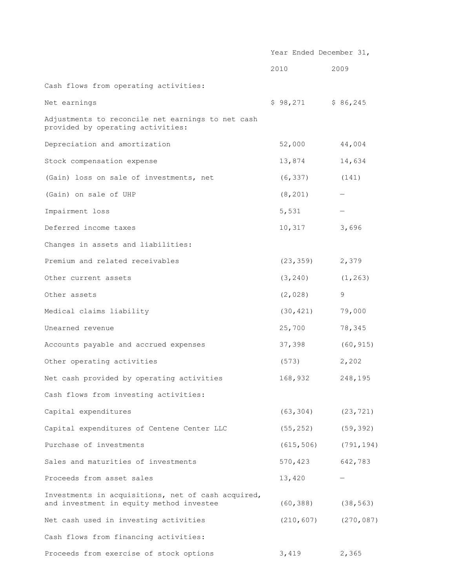|                                                                                                | Year Ended December 31, |            |
|------------------------------------------------------------------------------------------------|-------------------------|------------|
|                                                                                                | 2010                    | 2009       |
| Cash flows from operating activities:                                                          |                         |            |
| Net earnings                                                                                   | \$98,271                | \$86,245   |
| Adjustments to reconcile net earnings to net cash<br>provided by operating activities:         |                         |            |
| Depreciation and amortization                                                                  | 52,000                  | 44,004     |
| Stock compensation expense                                                                     | 13,874                  | 14,634     |
| (Gain) loss on sale of investments, net                                                        | (6, 337)                | (141)      |
| (Gain) on sale of UHP                                                                          | (8, 201)                |            |
| Impairment loss                                                                                | 5,531                   |            |
| Deferred income taxes                                                                          | 10,317                  | 3,696      |
| Changes in assets and liabilities:                                                             |                         |            |
| Premium and related receivables                                                                | (23, 359)               | 2,379      |
| Other current assets                                                                           | (3, 240)                | (1, 263)   |
| Other assets                                                                                   | (2,028)                 | 9          |
| Medical claims liability                                                                       | (30, 421)               | 79,000     |
| Unearned revenue                                                                               | 25,700                  | 78,345     |
| Accounts payable and accrued expenses                                                          | 37,398                  | (60, 915)  |
| Other operating activities                                                                     | (573)                   | 2,202      |
| Net cash provided by operating activities                                                      | 168,932                 | 248,195    |
| Cash flows from investing activities:                                                          |                         |            |
| Capital expenditures                                                                           | (63, 304)               | (23, 721)  |
| Capital expenditures of Centene Center LLC                                                     | (55, 252)               | (59, 392)  |
| Purchase of investments                                                                        | (615, 506)              | (791, 194) |
| Sales and maturities of investments                                                            | 570,423                 | 642,783    |
| Proceeds from asset sales                                                                      | 13,420                  |            |
| Investments in acquisitions, net of cash acquired,<br>and investment in equity method investee | (60, 388)               | (38, 563)  |
| Net cash used in investing activities                                                          | (210, 607)              | (270, 087) |
| Cash flows from financing activities:                                                          |                         |            |
| Proceeds from exercise of stock options                                                        | 3,419                   | 2,365      |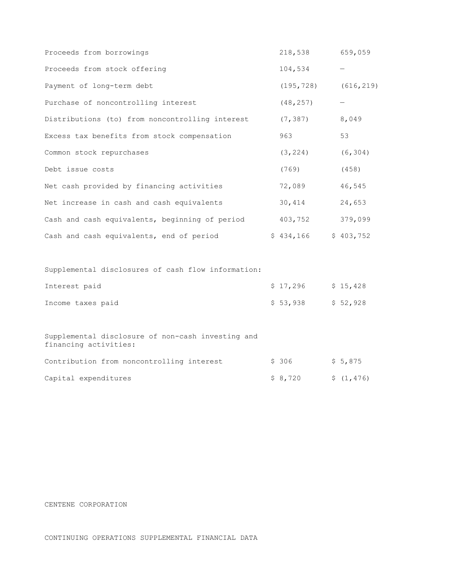| Proceeds from borrowings                                                   | 218,538    | 659,059    |
|----------------------------------------------------------------------------|------------|------------|
| Proceeds from stock offering                                               | 104,534    |            |
| Payment of long-term debt                                                  | (195, 728) | (616, 219) |
| Purchase of noncontrolling interest                                        | (48, 257)  | —          |
| Distributions (to) from noncontrolling interest                            | (7, 387)   | 8,049      |
| Excess tax benefits from stock compensation                                | 963        | 53         |
| Common stock repurchases                                                   | (3, 224)   | (6, 304)   |
| Debt issue costs                                                           | (769)      | (458)      |
| Net cash provided by financing activities                                  | 72,089     | 46,545     |
| Net increase in cash and cash equivalents                                  | 30,414     | 24,653     |
| Cash and cash equivalents, beginning of period                             | 403,752    | 379,099    |
| Cash and cash equivalents, end of period                                   | \$434,166  | \$403,752  |
|                                                                            |            |            |
| Supplemental disclosures of cash flow information:                         |            |            |
| Interest paid                                                              | \$17,296   | \$15,428   |
| Income taxes paid                                                          | \$53,938   | \$52,928   |
|                                                                            |            |            |
| Supplemental disclosure of non-cash investing and<br>financing activities: |            |            |
| Contribution from noncontrolling interest                                  | \$306      | \$5,875    |
| Capital expenditures                                                       | \$8,720    | \$(1, 476) |

#### CENTENE CORPORATION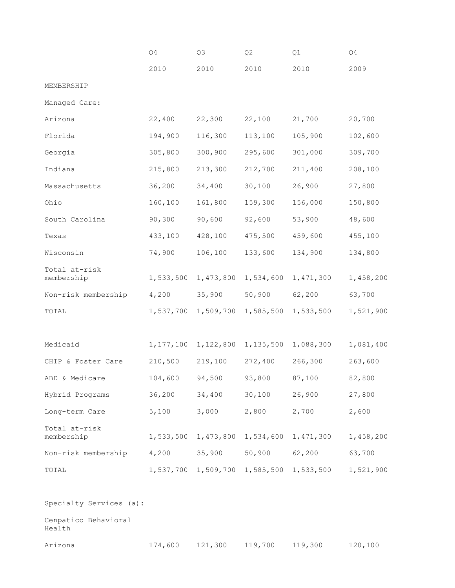|                                | Q4        | Q3                  | Q <sub>2</sub> | Q1        | Q4        |
|--------------------------------|-----------|---------------------|----------------|-----------|-----------|
|                                | 2010      | 2010                | 2010           | 2010      | 2009      |
| MEMBERSHIP                     |           |                     |                |           |           |
| Managed Care:                  |           |                     |                |           |           |
| Arizona                        | 22,400    | 22,300              | 22,100         | 21,700    | 20,700    |
| Florida                        | 194,900   | 116,300             | 113,100        | 105,900   | 102,600   |
| Georgia                        | 305,800   | 300,900             | 295,600        | 301,000   | 309,700   |
| Indiana                        | 215,800   | 213,300             | 212,700        | 211,400   | 208,100   |
| Massachusetts                  | 36,200    | 34,400              | 30,100         | 26,900    | 27,800    |
| Ohio                           | 160,100   | 161,800             | 159,300        | 156,000   | 150,800   |
| South Carolina                 | 90,300    | 90,600              | 92,600         | 53,900    | 48,600    |
| Texas                          | 433,100   | 428,100             | 475,500        | 459,600   | 455,100   |
| Wisconsin                      | 74,900    | 106,100             | 133,600        | 134,900   | 134,800   |
| Total at-risk<br>membership    | 1,533,500 | 1,473,800           | 1,534,600      | 1,471,300 | 1,458,200 |
| Non-risk membership            | 4,200     | 35,900              | 50,900         | 62,200    | 63,700    |
| TOTAL                          | 1,537,700 | 1,509,700           | 1,585,500      | 1,533,500 | 1,521,900 |
|                                |           |                     |                |           |           |
| Medicaid                       | 1,177,100 | 1,122,800           | 1,135,500      | 1,088,300 | 1,081,400 |
| CHIP & Foster Care             | 210,500   | 219,100             | 272,400        | 266,300   | 263,600   |
| ABD & Medicare                 | 104,600   | 94,500              | 93,800         | 87,100    | 82,800    |
| Hybrid Programs                | 36,200    | 34,400              | 30,100         | 26,900    | 27,800    |
| Long-term Care                 | 5,100     | 3,000               | 2,800          | 2,700     | 2,600     |
| Total at-risk<br>membership    | 1,533,500 | 1,473,800           | 1,534,600      | 1,471,300 | 1,458,200 |
| Non-risk membership            | 4,200     | 35,900              | 50,900         | 62,200    | 63,700    |
| TOTAL                          |           | 1,537,700 1,509,700 | 1,585,500      | 1,533,500 | 1,521,900 |
|                                |           |                     |                |           |           |
| Specialty Services (a):        |           |                     |                |           |           |
| Cenpatico Behavioral<br>Health |           |                     |                |           |           |
| Arizona                        | 174,600   | 121,300             | 119,700        | 119,300   | 120,100   |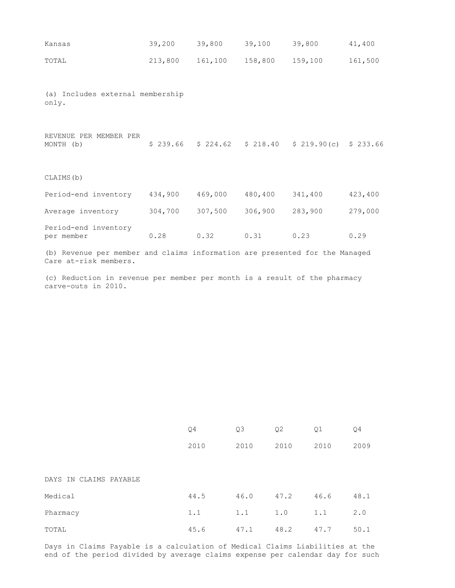| Kansas                                                                                               | 39,200  | 39,800  | 39,100          | 39,800                                               | 41,400  |
|------------------------------------------------------------------------------------------------------|---------|---------|-----------------|------------------------------------------------------|---------|
| TOTAL                                                                                                | 213,800 | 161,100 | 158,800 159,100 |                                                      | 161,500 |
| (a) Includes external membership<br>only.                                                            |         |         |                 |                                                      |         |
| REVENUE PER MEMBER PER<br>MONTH (b)                                                                  |         |         |                 | $$239.66$ $$224.62$ $$218.40$ $$219.90(c)$ $$233.66$ |         |
| CLAIMS (b)                                                                                           |         |         |                 |                                                      |         |
| Period-end inventory                                                                                 | 434,900 | 469,000 | 480,400         | 341,400                                              | 423,400 |
| Average inventory                                                                                    | 304,700 | 307,500 | 306,900         | 283,900                                              | 279,000 |
| Period-end inventory<br>per member                                                                   | 0.28    | 0.32    | 0.31            | 0.23                                                 | 0.29    |
| (b) Revenue per member and claims information are presented for the Managed<br>Care at-risk members. |         |         |                 |                                                      |         |

(c) Reduction in revenue per member per month is a result of the pharmacy carve-outs in 2010.

|                        | Q <sub>4</sub> | Q3   | Q <sub>2</sub> | Q <sub>1</sub> | Q <sub>4</sub> |
|------------------------|----------------|------|----------------|----------------|----------------|
|                        | 2010           | 2010 | 2010           | 2010           | 2009           |
| DAYS IN CLAIMS PAYABLE |                |      |                |                |                |
| Medical                | 44.5           | 46.0 | 47.2           | 46.6           | 48.1           |
| Pharmacy               | 1.1            | 1.1  | 1.0            | 1.1            | $2 \cdot 0$    |
| TOTAL                  | 45.6           | 47.1 | 48.2           | 47.7           | 50.1           |

Days in Claims Payable is a calculation of Medical Claims Liabilities at the end of the period divided by average claims expense per calendar day for such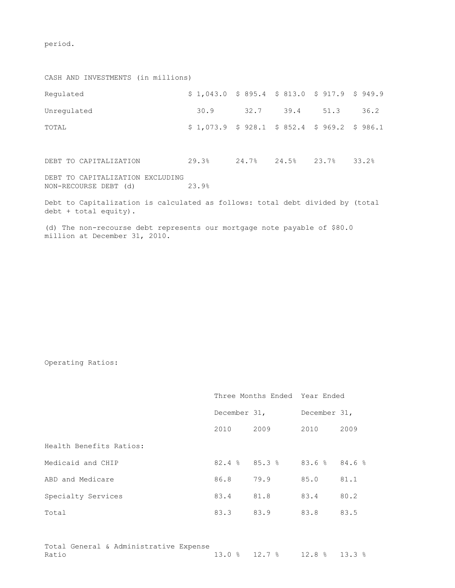period.

CASH AND INVESTMENTS (in millions) Regulated  $$ 1,043.0 $ 895.4 $ 813.0 $ 917.9 $ 949.9$ Unregulated 30.9 32.7 39.4 51.3 36.2 TOTAL  $$ 1,073.9 \$ 928.1 \$ 852.4 \$ 969.2 \$ 986.1$ DEBT TO CAPITALIZATION 29.3% 24.7% 24.5% 23.7% 33.2% DEBT TO CAPITALIZATION EXCLUDING<br>NON-RECOURSE DEBT (d) 23.9% NON-RECOURSE DEBT (d) 23.9% Debt to Capitalization is calculated as follows: total debt divided by (total debt + total equity). (d) The non-recourse debt represents our mortgage note payable of \$80.0

Operating Ratios:

million at December 31, 2010.

|                         |                       |      | Three Months Ended Year Ended |      |  |
|-------------------------|-----------------------|------|-------------------------------|------|--|
|                         | December 31,          |      | December 31,                  |      |  |
|                         | 2010                  | 2009 | 2010                          | 2009 |  |
| Health Benefits Ratios: |                       |      |                               |      |  |
| Medicaid and CHIP       | $82.4$ $8$ $85.3$ $8$ |      | 83.6%84.6%                    |      |  |
| ABD and Medicare        | 86.8                  | 79.9 | 85.0                          | 81.1 |  |
| Specialty Services      | 83.4                  | 81.8 | 83.4                          | 80.2 |  |
| Total                   | 83.3                  | 83.9 | 83.8                          | 83.5 |  |
|                         |                       |      |                               |      |  |

Total General & Administrative Expense Ratio 13.0 % 12.7 % 12.8 % 13.3 %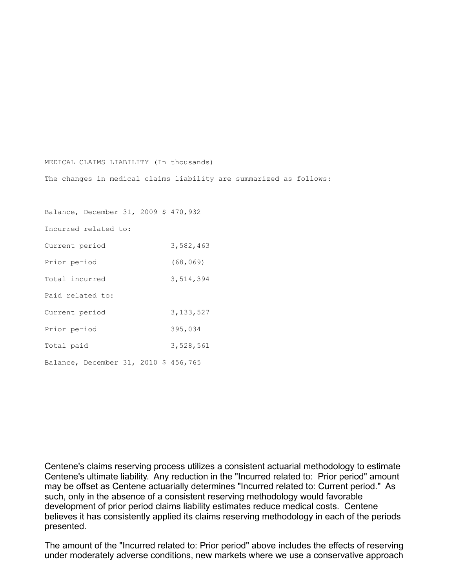#### MEDICAL CLAIMS LIABILITY (In thousands)

The changes in medical claims liability are summarized as follows:

Balance, December 31, 2009 \$ 470,932 Incurred related to: Current period 3,582,463 Prior period (68,069) Total incurred 3,514,394 Paid related to: Current period 3,133,527 Prior period 395,034 Total paid 3,528,561 Balance, December 31, 2010 \$ 456,765

Centene's claims reserving process utilizes a consistent actuarial methodology to estimate Centene's ultimate liability. Any reduction in the "Incurred related to: Prior period" amount may be offset as Centene actuarially determines "Incurred related to: Current period." As such, only in the absence of a consistent reserving methodology would favorable development of prior period claims liability estimates reduce medical costs. Centene believes it has consistently applied its claims reserving methodology in each of the periods presented.

The amount of the "Incurred related to: Prior period" above includes the effects of reserving under moderately adverse conditions, new markets where we use a conservative approach